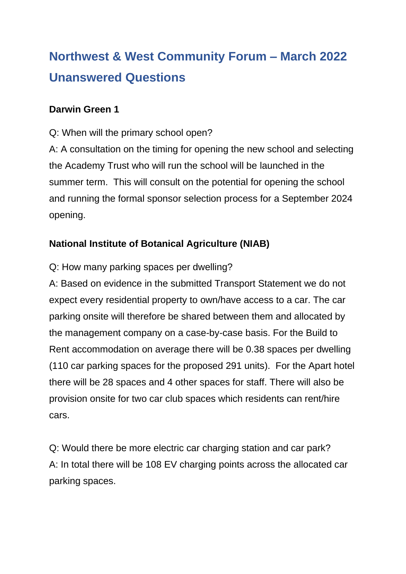# **Northwest & West Community Forum – March 2022 Unanswered Questions**

## **Darwin Green 1**

Q: When will the primary school open?

A: A consultation on the timing for opening the new school and selecting the Academy Trust who will run the school will be launched in the summer term. This will consult on the potential for opening the school and running the formal sponsor selection process for a September 2024 opening.

# **National Institute of Botanical Agriculture (NIAB)**

Q: How many parking spaces per dwelling?

A: Based on evidence in the submitted Transport Statement we do not expect every residential property to own/have access to a car. The car parking onsite will therefore be shared between them and allocated by the management company on a case-by-case basis. For the Build to Rent accommodation on average there will be 0.38 spaces per dwelling (110 car parking spaces for the proposed 291 units). For the Apart hotel there will be 28 spaces and 4 other spaces for staff. There will also be provision onsite for two car club spaces which residents can rent/hire cars.

Q: Would there be more electric car charging station and car park? A: In total there will be 108 EV charging points across the allocated car parking spaces.